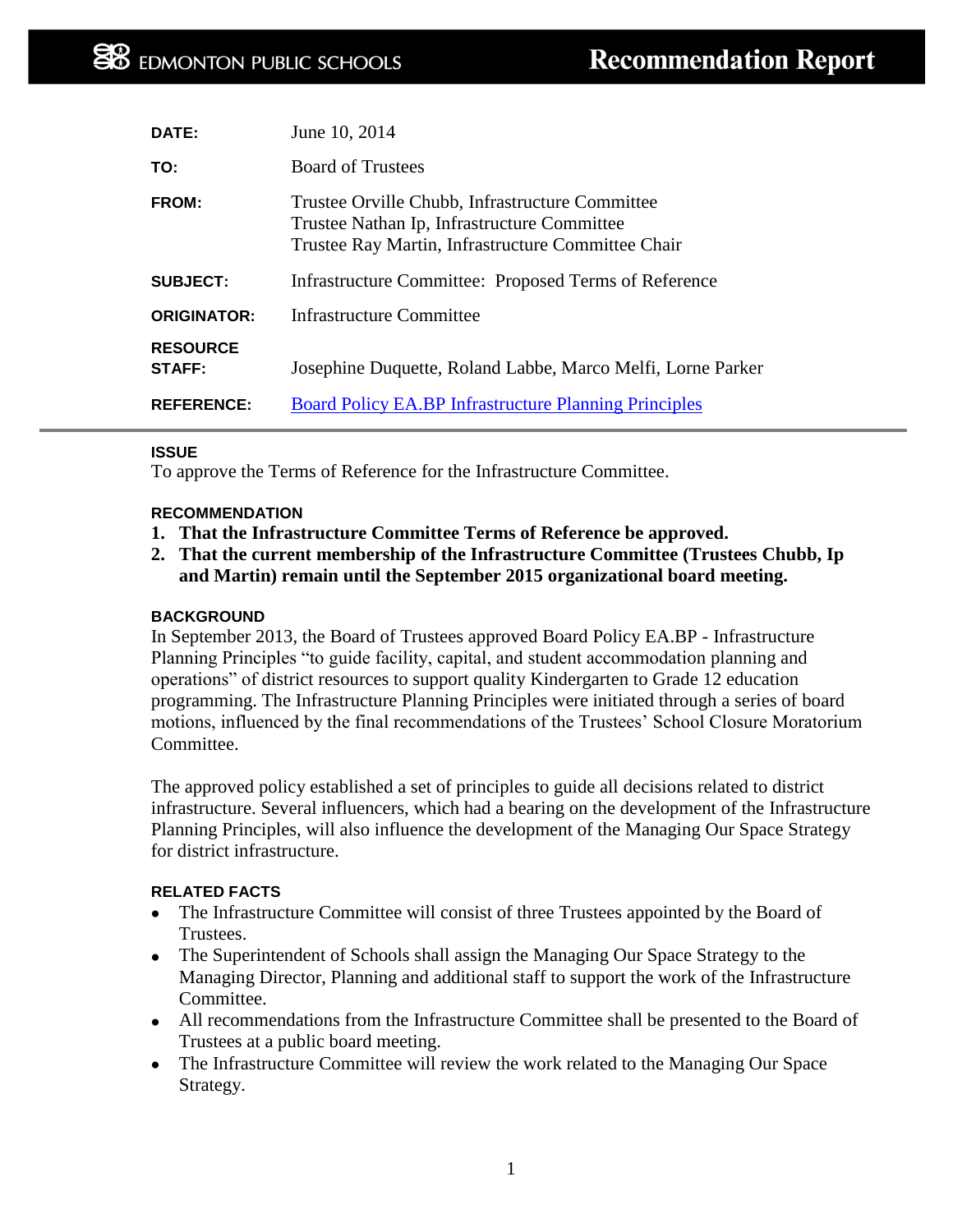| DATE:                            | June 10, 2014                                                                                                                                        |
|----------------------------------|------------------------------------------------------------------------------------------------------------------------------------------------------|
| TO:                              | <b>Board of Trustees</b>                                                                                                                             |
| <b>FROM:</b>                     | Trustee Orville Chubb, Infrastructure Committee<br>Trustee Nathan Ip, Infrastructure Committee<br>Trustee Ray Martin, Infrastructure Committee Chair |
| <b>SUBJECT:</b>                  | Infrastructure Committee: Proposed Terms of Reference                                                                                                |
| <b>ORIGINATOR:</b>               | <b>Infrastructure Committee</b>                                                                                                                      |
| <b>RESOURCE</b><br><b>STAFF:</b> | Josephine Duquette, Roland Labbe, Marco Melfi, Lorne Parker                                                                                          |
| <b>REFERENCE:</b>                | <b>Board Policy EA.BP Infrastructure Planning Principles</b>                                                                                         |

### **ISSUE**

To approve the Terms of Reference for the Infrastructure Committee.

### **RECOMMENDATION**

- **1. That the Infrastructure Committee Terms of Reference be approved.**
- **2. That the current membership of the Infrastructure Committee (Trustees Chubb, Ip and Martin) remain until the September 2015 organizational board meeting.**

### **BACKGROUND**

In September 2013, the Board of Trustees approved Board Policy EA.BP - Infrastructure Planning Principles "to guide facility, capital, and student accommodation planning and operations" of district resources to support quality Kindergarten to Grade 12 education programming. The Infrastructure Planning Principles were initiated through a series of board motions, influenced by the final recommendations of the Trustees' School Closure Moratorium Committee.

The approved policy established a set of principles to guide all decisions related to district infrastructure. Several influencers, which had a bearing on the development of the Infrastructure Planning Principles, will also influence the development of the Managing Our Space Strategy for district infrastructure.

#### **RELATED FACTS**

- The Infrastructure Committee will consist of three Trustees appointed by the Board of Trustees.
- The Superintendent of Schools shall assign the Managing Our Space Strategy to the Managing Director, Planning and additional staff to support the work of the Infrastructure Committee.
- All recommendations from the Infrastructure Committee shall be presented to the Board of Trustees at a public board meeting.
- The Infrastructure Committee will review the work related to the Managing Our Space Strategy.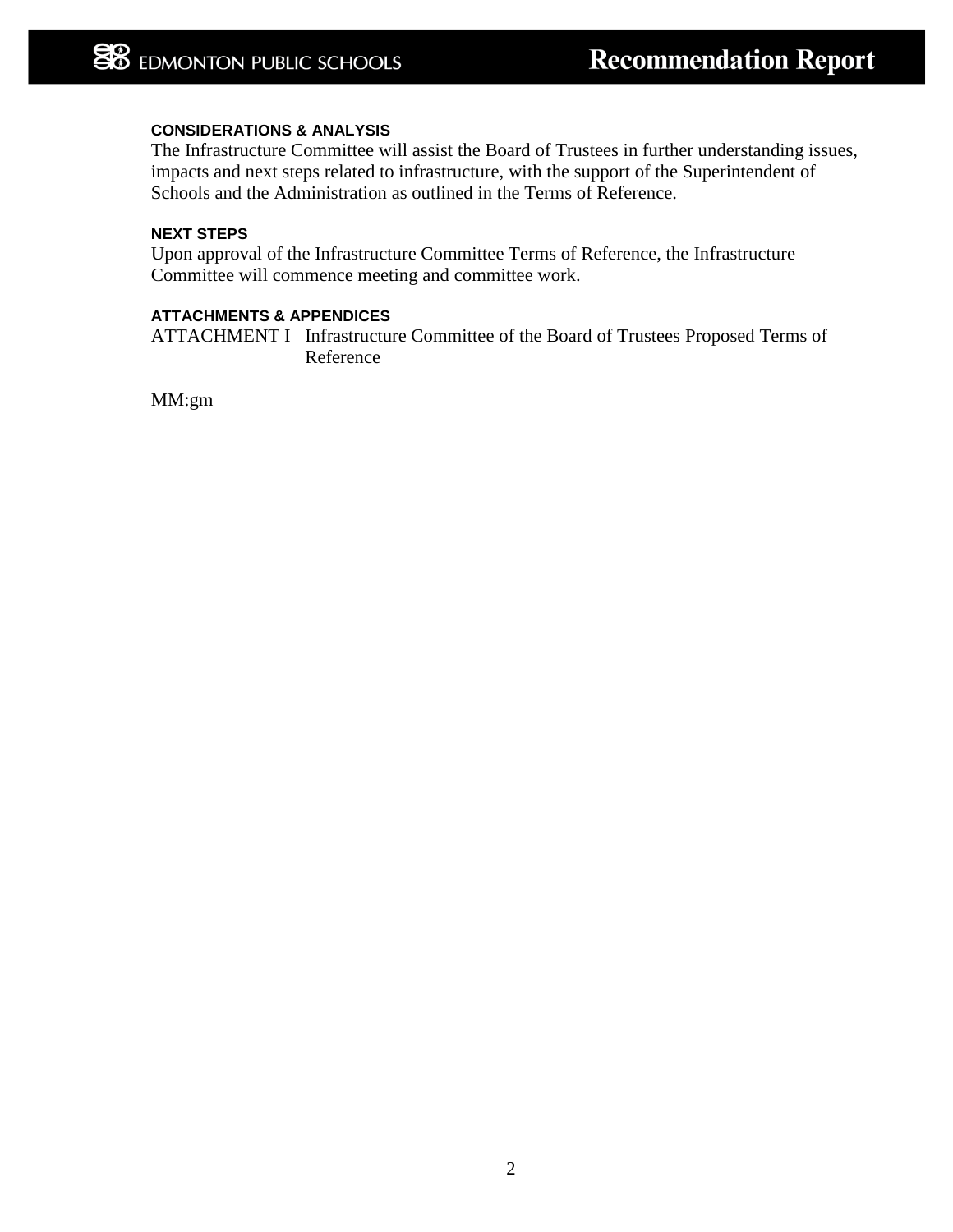# **CONSIDERATIONS & ANALYSIS**

The Infrastructure Committee will assist the Board of Trustees in further understanding issues, impacts and next steps related to infrastructure, with the support of the Superintendent of Schools and the Administration as outlined in the Terms of Reference.

# **NEXT STEPS**

Upon approval of the Infrastructure Committee Terms of Reference, the Infrastructure Committee will commence meeting and committee work.

#### **ATTACHMENTS & APPENDICES**

ATTACHMENT I Infrastructure Committee of the Board of Trustees Proposed Terms of Reference

MM:gm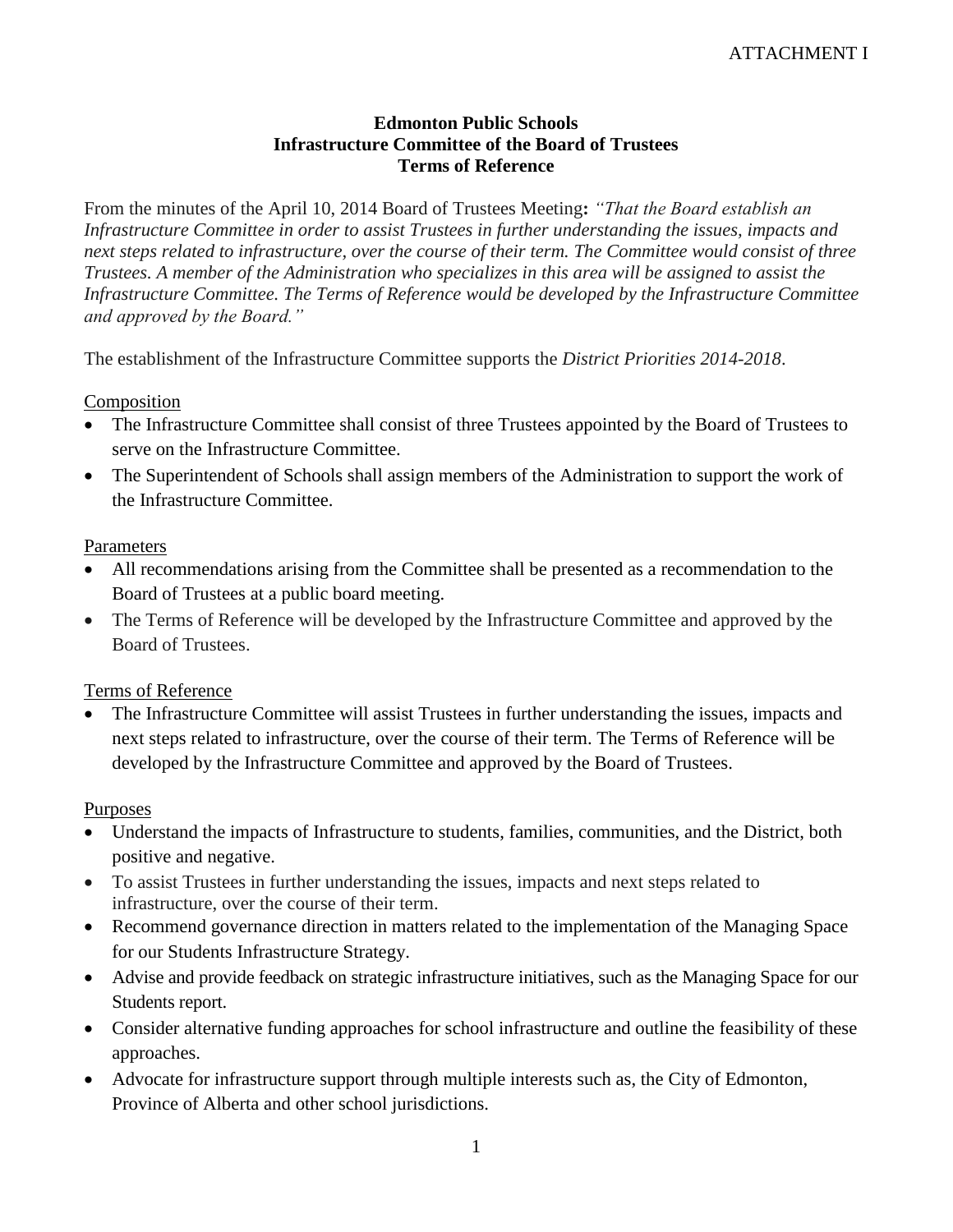# **Edmonton Public Schools Infrastructure Committee of the Board of Trustees Terms of Reference**

From the minutes of the April 10, 2014 Board of Trustees Meeting**:** *"That the Board establish an Infrastructure Committee in order to assist Trustees in further understanding the issues, impacts and next steps related to infrastructure, over the course of their term. The Committee would consist of three Trustees. A member of the Administration who specializes in this area will be assigned to assist the Infrastructure Committee. The Terms of Reference would be developed by the Infrastructure Committee and approved by the Board."*

The establishment of the Infrastructure Committee supports the *District Priorities 2014-2018*.

# **Composition**

- The Infrastructure Committee shall consist of three Trustees appointed by the Board of Trustees to serve on the Infrastructure Committee.
- The Superintendent of Schools shall assign members of the Administration to support the work of the Infrastructure Committee.

## **Parameters**

- All recommendations arising from the Committee shall be presented as a recommendation to the Board of Trustees at a public board meeting.
- The Terms of Reference will be developed by the Infrastructure Committee and approved by the Board of Trustees.

## Terms of Reference

 The Infrastructure Committee will assist Trustees in further understanding the issues, impacts and next steps related to infrastructure, over the course of their term. The Terms of Reference will be developed by the Infrastructure Committee and approved by the Board of Trustees.

## Purposes

- Understand the impacts of Infrastructure to students, families, communities, and the District, both positive and negative.
- To assist Trustees in further understanding the issues, impacts and next steps related to infrastructure, over the course of their term.
- Recommend governance direction in matters related to the implementation of the Managing Space for our Students Infrastructure Strategy.
- Advise and provide feedback on strategic infrastructure initiatives, such as the Managing Space for our Students report.
- Consider alternative funding approaches for school infrastructure and outline the feasibility of these approaches.
- Advocate for infrastructure support through multiple interests such as, the City of Edmonton, Province of Alberta and other school jurisdictions.